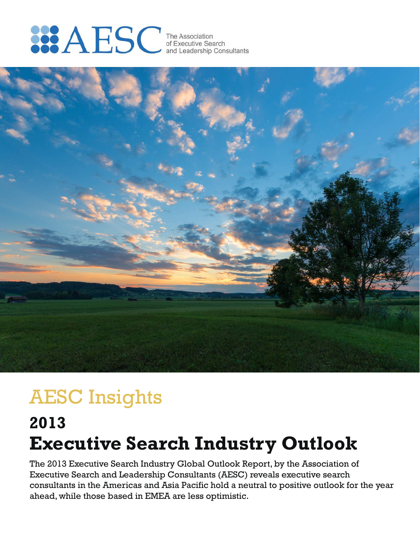# **SEARSC** The Association<br>of Executive Search<br>and Leadership Consultants



## AESC Insights

## **Executive Search Industry Outlook 2013**

The 2013 Executive Search Industry Global Outlook Report, by the Association of Executive Search and Leadership Consultants (AESC) reveals executive search consultants in the Americas and Asia Pacific hold a neutral to positive outlook for the year ahead, while those based in EMEA are less optimistic.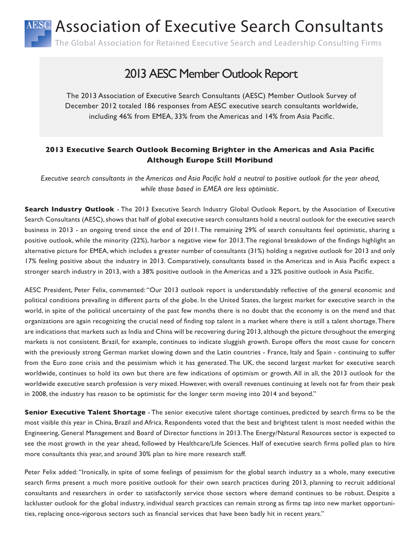## AESC Association of Executive Search Consultants

The Global Association for Retained Executive Search and Leadership Consulting Firms

## 2013 AESC Member Outlook Report

The 2013 Association of Executive Search Consultants (AESC) Member Outlook Survey of December 2012 totaled 186 responses from AESC executive search consultants worldwide, including 46% from EMEA, 33% from the Americas and 14% from Asia Pacific.

#### **2013 Executive Search Outlook Becoming Brighter in the Americas and Asia Pacific Although Europe Still Moribund**

*Executive search consultants in the Americas and Asia Pacific hold a neutral to positive outlook for the year ahead, while those based in EMEA are less optimistic.*

**Search Industry Outlook** - The 2013 Executive Search Industry Global Outlook Report, by the Association of Executive Search Consultants (AESC), shows that half of global executive search consultants hold a neutral outlook for the executive search business in 2013 - an ongoing trend since the end of 2011. The remaining 29% of search consultants feel optimistic, sharing a positive outlook, while the minority (22%), harbor a negative view for 2013. The regional breakdown of the findings highlight an alternative picture for EMEA, which includes a greater number of consultants (31%) holding a negative outlook for 2013 and only 17% feeling positive about the industry in 2013. Comparatively, consultants based in the Americas and in Asia Pacific expect a stronger search industry in 2013, with a 38% positive outlook in the Americas and a 32% positive outlook in Asia Pacific.

AESC President, Peter Felix, commented: "Our 2013 outlook report is understandably reflective of the general economic and political conditions prevailing in different parts of the globe. In the United States, the largest market for executive search in the world, in spite of the political uncertainty of the past few months there is no doubt that the economy is on the mend and that organizations are again recognizing the crucial need of finding top talent in a market where there is still a talent shortage. There are indications that markets such as India and China will be recovering during 2013, although the picture throughout the emerging markets is not consistent. Brazil, for example, continues to indicate sluggish growth. Europe offers the most cause for concern with the previously strong German market slowing down and the Latin countries - France, Italy and Spain - continuing to suffer from the Euro zone crisis and the pessimism which it has generated. The UK, the second largest market for executive search worldwide, continues to hold its own but there are few indications of optimism or growth. All in all, the 2013 outlook for the worldwide executive search profession is very mixed. However, with overall revenues continuing at levels not far from their peak in 2008, the industry has reason to be optimistic for the longer term moving into 2014 and beyond."

**Senior Executive Talent Shortage** - The senior executive talent shortage continues, predicted by search firms to be the most visible this year in China, Brazil and Africa. Respondents voted that the best and brightest talent is most needed within the Engineering, General Management and Board of Director functions in 2013. The Energy/Natural Resources sector is expected to see the most growth in the year ahead, followed by Healthcare/Life Sciences. Half of executive search firms polled plan to hire more consultants this year, and around 30% plan to hire more research staff.

Peter Felix added: "Ironically, in spite of some feelings of pessimism for the global search industry as a whole, many executive search firms present a much more positive outlook for their own search practices during 2013, planning to recruit additional consultants and researchers in order to satisfactorily service those sectors where demand continues to be robust. Despite a lackluster outlook for the global industry, individual search practices can remain strong as firms tap into new market opportunities, replacing once-vigorous sectors such as financial services that have been badly hit in recent years."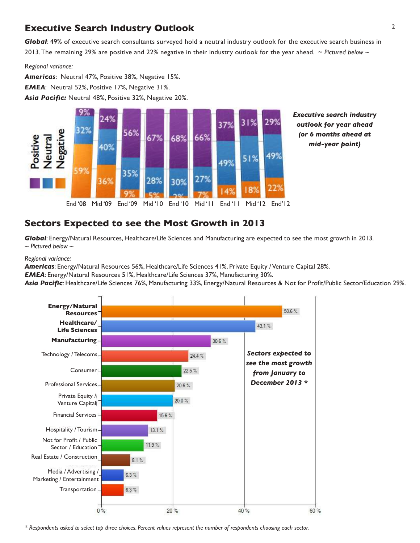#### **Executive Search Industry Outlook** <sup>2</sup>

*Global*: 49% of executive search consultants surveyed hold a neutral industry outlook for the executive search business in 2013. The remaining 29% are positive and 22% negative in their industry outlook for the year ahead. ~ *Pictured below ~*

R*egional variance:*

*Americas*: Neutral 47%, Positive 38%, Negative 15%. *EMEA*: Neutral 52%, Positive 17%, Negative 31%. *Asia Pacific:* Neutral 48%, Positive 32%, Negative 20%.



*Executive search industry outlook for year ahead (or 6 months ahead at mid-year point)*

*Global*: Energy/Natural Resources, Healthcare/Life Sciences and Manufacturing are expected to see the most growth in 2013. *~ Pictured below ~*

*Regional variance:*

*Americas*: Energy/Natural Resources 56%, Healthcare/Life Sciences 41%, Private Equity / Venture Capital 28%.

*EMEA*: Energy/Natural Resources 51%, Healthcare/Life Sciences 37%, Manufacturing 30%.

**Sectors Expected to see the Most Growth in 2013**

*Asia Pacific*: Healthcare/Life Sciences 76%, Manufacturing 33%, Energy/Natural Resources & Not for Profit/Public Sector/Education 29%.



*\* Respondents asked to select top three choices. Percent values represent the number of respondents choosing each sector.*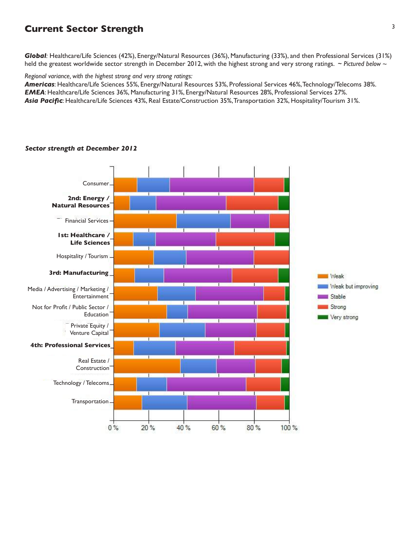#### **Current Sector Strength**

*Global:* Healthcare/Life Sciences (42%), Energy/Natural Resources (36%), Manufacturing (33%), and then Professional Services (31%) held the greatest worldwide sector strength in December 2012, with the highest strong and very strong ratings. ~ Pictured below ~

*Regional variance, with the highest strong and very strong ratings:*

*Americas*: Healthcare/Life Sciences 55%, Energy/Natural Resources 53%, Professional Services 46%, Technology/Telecoms 38%. *EMEA*: Healthcare/Life Sciences 36%, Manufacturing 31%, Energy/Natural Resources 28%, Professional Services 27%. *Asia Pacific*: Healthcare/Life Sciences 43%, Real Estate/Construction 35%, Transportation 32%, Hospitality/Tourism 31%.



#### *Sector strength at December 2012*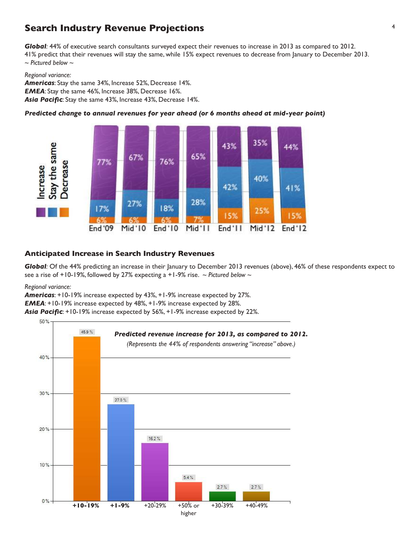#### **Search Industry Revenue Projections** <sup>4</sup>

*Global:* 44% of executive search consultants surveyed expect their revenues to increase in 2013 as compared to 2012. 41% predict that their revenues will stay the same, while 15% expect revenues to decrease from January to December 2013. *~ Pictured below ~*

#### *Regional variance:*

*Americas*: Stay the same 34%, Increase 52%, Decrease 14%. *EMEA*: Stay the same 46%, Increase 38%, Decrease 16%. *Asia Pacific*: Stay the same 43%, Increase 43%, Decrease 14%.

*Predicted change to annual revenues for year ahead (or 6 months ahead at mid-year point)*



#### **Anticipated Increase in Search Industry Revenues**

*Global:* Of the 44% predicting an increase in their January to December 2013 revenues (above), 46% of these respondents expect to see a rise of +10-19%, followed by 27% expecting a +1-9% rise. *~ Pictured below ~*

*Regional variance:*

*Americas*: +10-19% increase expected by 43%, +1-9% increase expected by 27%. *EMEA*: +10-19% increase expected by 48%, +1-9% increase expected by 28%. *Asia Pacific*: +10-19% increase expected by 56%, +1-9% increase expected by 22%.

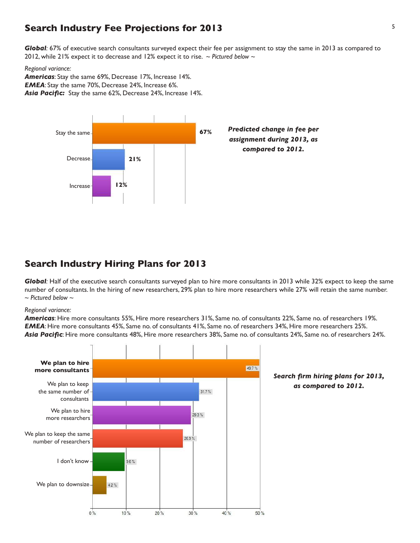#### **Search Industry Fee Projections for 2013** <sup>5</sup>

*Global:* 67% of executive search consultants surveyed expect their fee per assignment to stay the same in 2013 as compared to 2012, while 21% expect it to decrease and 12% expect it to rise. *~ Pictured below ~*

#### *Regional variance:*

*Americas*: Stay the same 69%, Decrease 17%, Increase 14%. *EMEA*: Stay the same 70%, Decrease 24%, Increase 6%. *Asia Pacific:* Stay the same 62%, Decrease 24%, Increase 14%.



#### **Search Industry Hiring Plans for 2013**

*Global:* Half of the executive search consultants surveyed plan to hire more consultants in 2013 while 32% expect to keep the same number of consultants. In the hiring of new researchers, 29% plan to hire more researchers while 27% will retain the same number. *~ Pictured below ~*

#### *Regional variance:*

*Americas*: Hire more consultants 55%, Hire more researchers 31%, Same no. of consultants 22%, Same no. of researchers 19%. *EMEA*: Hire more consultants 45%, Same no. of consultants 41%, Same no. of researchers 34%, Hire more researchers 25%. *Asia Pacific*: Hire more consultants 48%, Hire more researchers 38%, Same no. of consultants 24%, Same no. of researchers 24%.

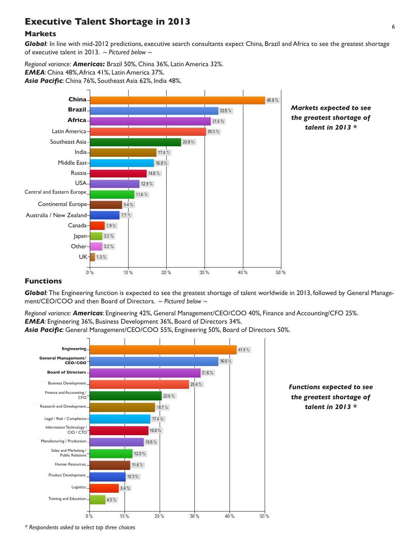### <sup>6</sup> **Executive Talent Shortage in 2013**

#### **Markets**

*Global:* In line with mid-2012 predictions, executive search consultants expect China, Brazil and Africa to see the greatest shortage of executive talent in 2013. *~ Pictured below ~*

*Regional variance: Americas:* Brazil 50%, China 36%, Latin America 32%. *EMEA*: China 48%, Africa 41%, Latin America 37%. *Asia Pacific*: China 76%, Southeast Asia 62%, India 48%.



#### **Functions**

*Global:* The Engineering function is expected to see the greatest shortage of talent worldwide in 2013, followed by General Management/CEO/COO and then Board of Directors. *~ Pictured below ~*

*Regional variance: Americas*: Engineering 42%, General Management/CEO/COO 40%, Finance and Accounting/CFO 25%. *EMEA*: Engineering 36%, Business Development 36%, Board of Directors 34%.

*Asia Pacific*: General Management/CEO/COO 55%, Engineering 50%, Board of Directors 50%.



*Functions expected to see the greatest shortage of talent in 2013 \**

*\* Respondents asked to select top three choices*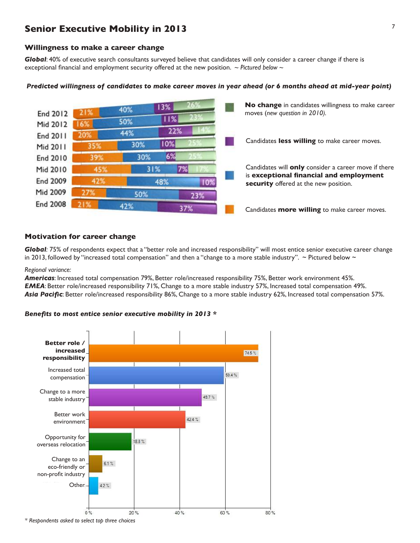#### **Senior Executive Mobility in 2013**

#### **Willingness to make a career change**

*Global*: 40% of executive search consultants surveyed believe that candidates will only consider a career change if there is exceptional financial and employment security offered at the new position. *~ Pictured below ~*



#### *Predicted willingness of candidates to make career moves in year ahead (or 6 months ahead at mid-year point)*

#### **Motivation for career change**

*Global:* 75% of respondents expect that a "better role and increased responsibility" will most entice senior executive career change in 2013, followed by "increased total compensation" and then a "change to a more stable industry".  $\sim$  Pictured below  $\sim$ 

*Regional variance:*

*Americas*: Increased total compensation 79%, Better role/increased responsibility 75%, Better work environment 45%. *EMEA*: Better role/increased responsibility 71%, Change to a more stable industry 57%, Increased total compensation 49%. *Asia Pacific*: Better role/increased responsibility 86%, Change to a more stable industry 62%, Increased total compensation 57%.

#### *Benefits to most entice senior executive mobility in 2013 \**



*\* Respondents asked to select top three choices*